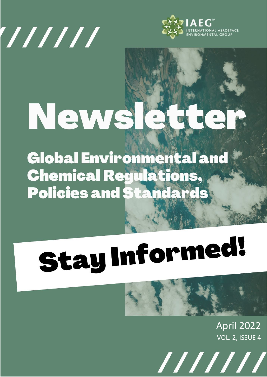



## News  $\triangle$

**Global Environmental and Chemical Regulations, Policies and Standards** 

# **Stay Informed!**

## April 2022

VOL. 2, ISSUE 4

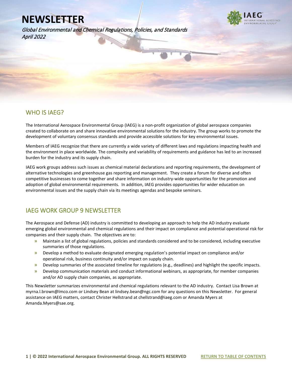Global Environmental and Chemical Regulations, Policies, and Standards April 2022



### WHO IS IAEG?

l

The International Aerospace Environmental Group (IAEG) is a non-profit organization of global aerospace companies created to collaborate on and share innovative environmental solutions for the industry. The group works to promote the development of voluntary consensus standards and provide accessible solutions for key environmental issues.

Members of IAEG recognize that there are currently a wide variety of different laws and regulations impacting health and the environment in place worldwide. The complexity and variability of requirements and guidance has led to an increased burden for the industry and its supply chain.

IAEG work groups address such issues as chemical material declarations and reporting requirements, the development of alternative technologies and greenhouse gas reporting and management. They create a forum for diverse and often competitive businesses to come together and share information on industry-wide opportunities for the promotion and adoption of global environmental requirements. In addition, IAEG provides opportunities for wider education on environmental issues and the supply chain via its meetings agendas and bespoke seminars.

### IAEG WORK GROUP 9 NEWSLETTER

The Aerospace and Defense (AD) industry is committed to developing an approach to help the AD industry evaluate emerging global environmental and chemical regulations and their impact on compliance and potential operational risk for companies and their supply chain. The objectives are to:

- **»** Maintain a list of global regulations, policies and standards considered and to be considered, including executive summaries of those regulations.
- **»** Develop a method to evaluate designated emerging regulation's potential impact on compliance and/or operational risk, business continuity and/or impact on supply chain.
- **»** Develop summaries of the associated timeline for regulations (e.g., deadlines) and highlight the specific impacts.
- **»** Develop communication materials and conduct informational webinars, as appropriate, for member companies and/or AD supply chain companies, as appropriate.

This Newsletter summarizes environmental and chemical regulations relevant to the AD industry. Contact Lisa Brown at myrna.l.brown@lmco.com or Lindsey Bean at lindsey.bean@ngc.com for any questions on this Newsletter. For general assistance on IAEG matters, contact Christer Hellstrand at chellstrand@iaeg.com or Amanda Myers at Amanda.Myers@sae.org.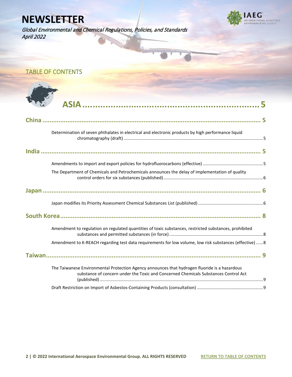Global Environmental and Chemical Regulations, Policies, and Standards April 2022



<span id="page-2-0"></span>

| <b>TABLE OF CONTENTS</b>                                                                                                                                                             |  |
|--------------------------------------------------------------------------------------------------------------------------------------------------------------------------------------|--|
|                                                                                                                                                                                      |  |
|                                                                                                                                                                                      |  |
|                                                                                                                                                                                      |  |
|                                                                                                                                                                                      |  |
|                                                                                                                                                                                      |  |
|                                                                                                                                                                                      |  |
| Determination of seven phthalates in electrical and electronic products by high performance liquid                                                                                   |  |
|                                                                                                                                                                                      |  |
|                                                                                                                                                                                      |  |
|                                                                                                                                                                                      |  |
|                                                                                                                                                                                      |  |
| The Department of Chemicals and Petrochemicals announces the delay of implementation of quality                                                                                      |  |
|                                                                                                                                                                                      |  |
|                                                                                                                                                                                      |  |
|                                                                                                                                                                                      |  |
| Amendment to regulation on regulated quantities of toxic substances, restricted substances, prohibited                                                                               |  |
| Amendment to K-REACH regarding test data requirements for low volume, low risk substances (effective)  8                                                                             |  |
|                                                                                                                                                                                      |  |
| The Taiwanese Environmental Protection Agency announces that hydrogen fluoride is a hazardous<br>substance of concern under the Toxic and Concerned Chemicals Substances Control Act |  |
|                                                                                                                                                                                      |  |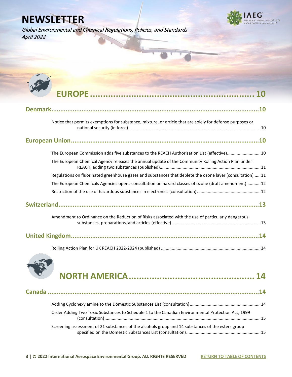Global Environmental and Chemical Regulations, Policies, and Standards April 2022



| Notice that permits exemptions for substance, mixture, or article that are solely for defense purposes or |
|-----------------------------------------------------------------------------------------------------------|
|                                                                                                           |
| The European Commission adds five substances to the REACH Authorisation List (effective)10                |
| The European Chemical Agency releases the annual update of the Community Rolling Action Plan under        |
| Regulations on fluorinated greenhouse gases and substances that deplete the ozone layer (consultation) 11 |
| The European Chemicals Agencies opens consultation on hazard classes of ozone (draft amendment) 12        |
|                                                                                                           |
|                                                                                                           |
| Amendment to Ordinance on the Reduction of Risks associated with the use of particularly dangerous        |
|                                                                                                           |
|                                                                                                           |



| Order Adding Two Toxic Substances to Schedule 1 to the Canadian Environmental Protection Act, 1999 |  |
|----------------------------------------------------------------------------------------------------|--|
| Screening assessment of 21 substances of the alcohols group and 14 substances of the esters group  |  |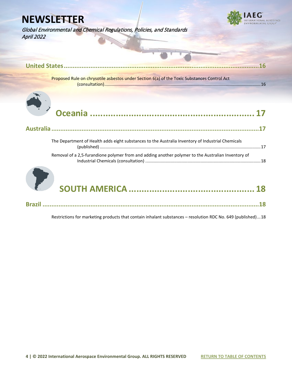



| 16                                                                                                 |
|----------------------------------------------------------------------------------------------------|
| Proposed Rule on chrysotile asbestos under Section 6(a) of the Toxic Substances Control Act        |
|                                                                                                    |
|                                                                                                    |
| The Department of Health adds eight substances to the Australia Inventory of Industrial Chemicals  |
| Removal of a 2,5-furandione polymer from and adding another polymer to the Australian Inventory of |
|                                                                                                    |

**Brazil [..........................................................................................................................18](#page-18-2)**

[Restrictions for marketing products that contain inhalant substances –](#page-18-3) resolution RDC No. 649 (published)...18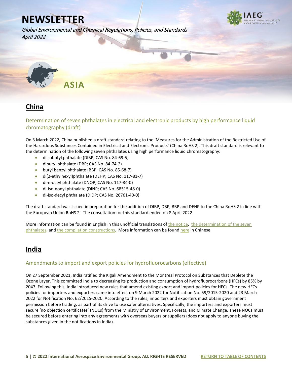

Global Environmental and Chemical Regulations, Policies, and Standards April 2022

<span id="page-5-0"></span>

## <span id="page-5-1"></span>**China**

<span id="page-5-2"></span>Determination of seven phthalates in electrical and electronic products by high performance liquid chromatography (draft)

On 3 March 2022, China published a draft standard relating to the 'Measures for the Administration of the Restricted Use of the Hazardous Substances Contained in Electrical and Electronic Products' (China RoHS 2). This draft standard is relevant to the determination of the following seven phthalates using high performance liquid chromatography:

- **»** diisobutyl phthalate (DIBP; CAS No. 84-69-5)
- **»** dibutyl phthalate (DBP; CAS No. 84-74-2)
- **»** butyl benzyl phthalate (BBP; CAS No. 85-68-7)
- **»** di(2-ethylhexyl)phthalate (DEHP; CAS No. 117-81-7)
- **»** di-n-octyl phthalate (DNOP; CAS No. 117-84-0)
- **»** di-iso-nonyl phthalate (DINP; CAS No. 68515-48-0)
- **»** di-iso-decyl phthalate (DIDP; CAS No. 26761-40-0)

The draft standard was issued in preparation for the addition of DIBP, DBP, BBP and DEHP to the China RoHS 2 in line with the European Union RoHS 2. The consultation for this standard ended on 8 April 2022.

More information can be found in English in this unofficial translations of [the notice,](https://www.iaeg.com/binaries/content/assets/iaeg-newsletters/2022/04/chn_draft-standard_english.pdf) the determination of the seven [phthalates,](https://www.iaeg.com/binaries/content/assets/iaeg-newsletters/2022/04/chn_draft-standard_annex-1_english.pdf) an[d the compilation constructions.](https://www.iaeg.com/binaries/content/assets/iaeg-newsletters/2022/04/chn_draft-standard_annex-2_english.pdf) More information can be found [here](http://www.cesi.cn/cesi/rohs/202203/8296.html) in Chinese.

## <span id="page-5-3"></span>**India**

#### <span id="page-5-4"></span>Amendments to import and export policies for hydrofluorocarbons (effective)

On 27 September 2021, India ratified the Kigali Amendment to the Montreal Protocol on Substances that Deplete the Ozone Layer. This committed India to decreasing its production and consumption of hydrofluorocarbons (HFCs) by 85% by 2047. Following this, India introduced new rules that amend existing export and import policies for HFCs. The new HFCs policies for importers and exporters came into effect on 9 March 2022 for Notification No. 59/2015-2020 and 23 March 2022 for Notification No. 62/2015-2020. According to the rules, importers and exporters must obtain government permission before trading, as part of its drive to use safer alternatives. Specifically, the importers and exporters must secure 'no objection certificates' (NOCs) from the Ministry of Environment, Forests, and Climate Change. These NOCs must be secured before entering into any agreements with overseas buyers or suppliers (does not apply to anyone buying the substances given in the notifications in India).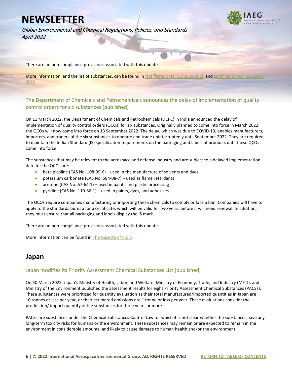Global Environmental and Chemical Regulations, Policies, and Standards April 2022



There are no non-compliance provisions associated with this update.

More information, and the list of substances, can be found i[n Notification No. 59/2015-2020](https://www.iaeg.com/binaries/content/assets/iaeg-newsletters/2022/04/ind_notification-no.-59-2015-2020.pdf) and Notification No [2020.](https://www.iaeg.com/binaries/content/assets/iaeg-newsletters/2022/04/ind_notification-no.-62-2015-2020.pdf) 

#### <span id="page-6-0"></span>The Department of Chemicals and Petrochemicals announces the delay of implementation of quality control orders for six substances (published)

On 11 March 2022, the Department of Chemicals and Petrochemicals (DCPC) in India announced the delay of implementation of quality control orders (QCOs) for six substances. Originally planned to come into force in March 2022, the QCOs will now come into force on 13 September 2022. The delay, which was due to COVID-19, enables manufacturers, importers, and traders of the six substances to operate and trade uninterruptedly until September 2022. They are required to maintain the Indian Standard (IS) specification requirements on the packaging and labels of products until these QCOs come into force.

The substances that may be relevant to the aerospace and defense industry and are subject to a delayed implementation date for the QCOs are:

- **»** beta picoline (CAS No. 108-99-6) used in the manufacture of solvents and dyes
- **»** potassium carbonate (CAS No. 584-08-7) used as flame retardants
- **»** acetone (CAS No. 67-64-1) used in paints and plastic processing
- **»** pyridine (CAS No. 110-86-1) used in paints, dyes, and adhesives

The QCOs require companies manufacturing or importing these chemicals to comply or face a ban. Companies will have to apply to the standards bureau for a certificate, which will be valid for two years before it will need renewal. In addition, they must ensure that all packaging and labels display the IS mark.

There are no non-compliance provisions associated with this update.

More information can be found i[n The Gazette of India.](https://www.iaeg.com/binaries/content/assets/iaeg-newsletters/2022/04/ind_qcos-for-six-substances.pdf) 

## <span id="page-6-1"></span>**Japan**

#### <span id="page-6-2"></span>Japan modifies its Priority Assessment Chemical Substances List (published)

On 30 March 2022, Japan's Ministry of Health, Labor, and Welfare, Ministry of Economy, Trade, and Industry (METI), and Ministry of the Environment published the assessment results for eight Priority Assessment Chemical Substances (PACSs). These substances were prioritized for quantity evaluation as their total manufactured/imported quantities in Japan are 10 tonnes or less per year, or their estimated emissions are 1 tonne or less per year. These evaluations consider the production/ import quantity of the substances for three years or more.

PACSs are substances under the Chemical Substances Control Law for which it is not clear whether the substances have any long-term toxicity risks for humans or the environment. These substances may remain or are expected to remain in the environment in considerable amounts, and likely to cause damage to human health and/or the environment.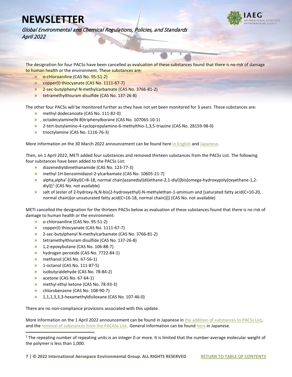

Global Environmental and Chemical Regulations, Policies, and Standards April 2022

The designation for four PACSs have been cancelled as evaluation of these substances found that there is no risk of damage to human health or the environment. These substances are:

- **»** o-chloroaniline (CAS No. 95-51-2)
- **»** copper(I) thiocyanate (CAS No. 1111-67-7)
- **»** 2-sec-butylphenyl N-methylcarbamate (CAS No. 3766-81-2)
- **»** tetramethylthiuram disulfide (CAS No. 137-26-8)

The other four PACSs will be monitored further as they have not yet been monitored for 3 years. These substances are:

- **»** methyl dodecanoate (CAS No. 111-82-0)
- **»** octadecylamine(N-B)triphenylborane (CAS No. 107065-10-1)
- **»** 2-tert-butylamino-4-cyclopropylamino-6-methylthio-1,3,5-triazine (CAS No. 28159-98-0)
- **»** trioctylamine (CAS No. 1116-76-3)

More information on the 30 March 2022 announcement can be found her[e in English](https://www.iaeg.com/binaries/content/assets/iaeg-newsletters/2022/04/jpn_pacss-evaluation_english.pdf) and [Japanese.](https://www.iaeg.com/binaries/content/assets/iaeg-newsletters/2022/04/jpn_pacss-evaluation.pdf)

Then, on 1 April 2022, METI added four substances and removed thirteen substances from the PACSs List. The following four substances have been added to the PACSs List:

- **»** diazenediyldimethanamide (CAS No. 123-77-3)
- **»** methyl 1H-benzoimidazol-2-ylcarbamate (CAS No. 10605-21-7)
- **»** alpha,alpha'-[(Alkyl(C=8-18, normal chain)azanediyl)di(ethane-2,1-diyl)]bis[omega-hydroxypoly(oxyethane-1,2 diyl)] $<sup>1</sup>$  $<sup>1</sup>$  $<sup>1</sup>$  (CAS No. not available)</sup>
- **»** salt of {ester of 2-hydroxy-N,N-bis(2-hydroxyethyl)-N-methylethan-1-aminium and [saturated fatty acid(C=10-20, normal chain)(or unsaturated fatty acid(C=16-18, normal chain))]} (CAS No. not available)

METI cancelled the designation for the thirteen PACSs below as evaluation of these substances found that there is no risk of damage to human health or the environment:

- **»** o-chloroaniline (CAS No. 95-51-2)
- **»** copper(I) thiocyanate (CAS No. 1111-67-7)
- **»** 2-sec-butylphenyl N-methylcarbamate (CAS No. 3766-81-2)
- **»** tetramethylthiuram disulfide (CAS No. 137-26-8)
- **»** 1,2-epoxybutane (CAS No. 106-88-7)
- **»** hydrogen peroxide (CAS No. 7722-84-1)
- **»** methanol (CAS No. 67-56-1)
- **»** 1-octanol (CAS No. 111-87-5)
- **»** isobutyraldehyde (CAS No. 78-84-2)
- **»** acetone (CAS No. 67-64-1)
- **»** methyl ethyl ketone (CAS No. 78-93-3)
- **»** chlorobenzene (CAS No. 108-90-7)
- **»** 1,1,1,3,3,3-hexamethyldisiloxane (CAS No. 107-46-0)

There are no non-compliance provisions associated with this update.

More information on the 1 April 2022 announcement can be found in Japanese i[n the addition of substances to PACSs List,](https://www.iaeg.com/binaries/content/assets/iaeg-newsletters/2022/04/jpn_addition-of-substances-from-pacss-list.pdf) and th[e removal of substances from the PACASs List.](https://www.iaeg.com/binaries/content/assets/iaeg-newsletters/2022/04/jpn_removal-of-substances-from-pacss-list.pdf) General information can be foun[d here](https://www.meti.go.jp/policy/chemical_management/kasinhou/information/pacs_announcement.html) in Japanese.

<span id="page-7-0"></span> $1$  The repeating number of repeating units is an integer 0 or more. It is limited that the number-average molecular weight of the polymer is less than 1,000.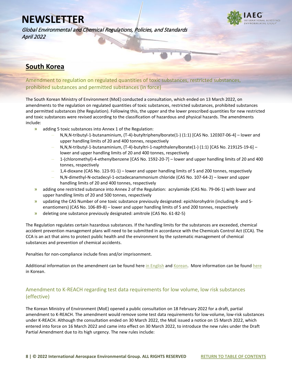Global Environmental and Chemical Regulations, Policies, and Standards April 2022



## <span id="page-8-0"></span>**South Korea**

<span id="page-8-1"></span>Amendment to regulation on regulated quantities of toxic substances, restricted substances, prohibited substances and permitted substances (in force)

The South Korean Ministry of Environment (MoE) conducted a consultation, which ended on 13 March 2022, on amendments to the regulation on regulated quantities of toxic substances, restricted substances, prohibited substances and permitted substances (the Regulation). Following this, the upper and the lower prescribed quantities for new restricted and toxic substances were revised according to the classification of hazardous and physical hazards. The amendments include:

- **»** adding 5 toxic substances into Annex 1 of the Regulation:
	- **–** N,N,N-tributyl-1-butanaminium, (T-4)-butyltriphenylborate(1-) (1:1) [CAS No. 120307-06-4] lower and upper handling limits of 20 and 400 tonnes, respectively
	- **–** N,N,N-tributyl-1-butanaminium, (T-4)-butyltri-1-naphthalenylborate(1-) (1:1) [CAS No. 219125-19-6] lower and upper handling limits of 20 and 400 tonnes, respectively
	- **–** 1-(chloromethyl)-4-ethenylbenzene [CAS No. 1592-20-7] lower and upper handling limits of 20 and 400 tonnes, respectively
	- **–** 1,4-dioxane (CAS No. 123-91-1) lower and upper handling limits of 5 and 200 tonnes, respectively
	- **–** N,N-dimethyl-N-octadecyl-1-octadecanammonium chloride (CAS No. 107-64-2) lower and upper handling limits of 20 and 400 tonnes, respectively
- **»** adding one restricted substance into Annex 2 of the Regulation: acrylamide (CAS No. 79-06-1) with lower and upper handling limits of 20 and 500 tonnes, respectively
- **»** updating the CAS Number of one toxic substance previously designated: epichlorohydrin (including R- and Senantiomers) (CAS No. 106-89-8) – lower and upper handling limits of 5 and 200 tonnes, respectively
- **»** deleting one substance previously designated: amitrole (CAS No. 61-82-5)

The Regulation regulates certain hazardous substances. If the handling limits for the substances are exceeded, chemical accident prevention management plans will need to be submitted in accordance with the Chemicals Control Act (CCA). The CCA is an act that aims to protect public health and the environment by the systematic management of chemical substances and prevention of chemical accidents.

Penalties for non-compliance include fines and/or imprisonment.

Additional information on the amendment can be found her[e in English](https://www.iaeg.com/binaries/content/assets/iaeg-newsletters/2022/04/kor_amendments-to-regulation_english.pdf) and [Korean.](https://www.iaeg.com/binaries/content/assets/iaeg-newsletters/2022/04/kor_amendments-to-regulation.pdf) More information can be found [here](https://www.law.go.kr/LSW/admRulLsInfoP.do?chrClsCd=&admRulSeq=2100000210201#AJAX) in Korean.

#### <span id="page-8-2"></span>Amendment to K-REACH regarding test data requirements for low volume, low risk substances (effective)

The Korean Ministry of Environment (MoE) opened a public consultation on 18 February 2022 for a draft, partial amendment to K-REACH. The amendment would remove some test data requirements for low-volume, low-risk substances under K-REACH. Although the consultation ended on 30 March 2022, the MoE issued a notice on 15 March 2022, which entered into force on 16 March 2022 and came into effect on 30 March 2022, to introduce the new rules under the Draft Partial Amendment due to its high urgency. The new rules include: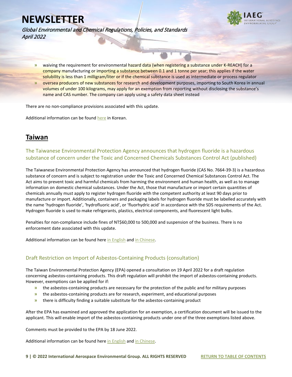

Global Environmental and Chemical Regulations, Policies, and Standards April 2022

- **»** waiving the requirement for environmental hazard data (when registering a substance under K-REACH) for a company manufacturing or importing a substance between 0.1 and 1 tonne per year; this applies if the water solubility is less than 1 milligram/liter or if the chemical substance is used as intermediate or process regulator
- **»** oversea producers of new substances for research and development purposes, importing to South Korea in annual volumes of under 100 kilograms, may apply for an exemption from reporting without disclosing the substance's name and CAS number. The company can apply using a safety data sheet instead

There are no non-compliance provisions associated with this update.

Additional information can be found [here](http://www.me.go.kr/home/web/board/read.do?pagerOffset=0&maxPageItems=10&maxIndexPages=10&searchKey=&searchValue=&menuId=10525&orgCd=&boardId=1513760&boardMasterId=1&boardCategoryId=&decorator=) in Korean.

## <span id="page-9-0"></span>**Taiwan**

<span id="page-9-1"></span>The Taiwanese Environmental Protection Agency announces that hydrogen fluoride is a hazardous substance of concern under the Toxic and Concerned Chemicals Substances Control Act (published)

The Taiwanese Environmental Protection Agency has announced that hydrogen fluoride (CAS No. 7664-39-3) is a hazardous substance of concern and is subject to registration under the Toxic and Concerned Chemical Substances Control Act. The Act aims to prevent toxic and harmful chemicals from harming the environment and human health, as well as to manage information on domestic chemical substances. Under the Act, those that manufacture or import certain quantities of chemicals annually must apply to register hydrogen fluoride with the competent authority at least 90 days prior to manufacture or import. Additionally, containers and packaging labels for hydrogen fluoride must be labelled accurately with the name 'hydrogen fluoride', 'hydrofluoric acid', or 'fluorhydric acid' in accordance with the SDS requirements of the Act. Hydrogen fluoride is used to make refrigerants, plastics, electrical components, and fluorescent light bulbs.

Penalties for non-compliance include fines of NT\$60,000 to 500,000 and suspension of the business. There is no enforcement date associated with this update.

Additional information can be found here [in English](https://www.iaeg.com/binaries/content/assets/iaeg-newsletters/2022/04/twn_labelling-of-hf_english.pdf) and [in Chinese.](https://oaout.epa.gov.tw/law/NewsContent.aspx?id=22656)

#### <span id="page-9-2"></span>Draft Restriction on Import of Asbestos-Containing Products (consultation)

The Taiwan Environmental Protection Agency (EPA) opened a consultation on 19 April 2022 for a draft regulation concerning asbestos-containing products. This draft regulation will prohibit the import of asbestos-containing products. However, exemptions can be applied for if:

- **»** the asbestos-containing products are necessary for the protection of the public and for military purposes
- **»** the asbestos-containing products are for research, experiment, and educational purposes
- **»** there is difficulty finding a suitable substitute for the asbestos-containing product

After the EPA has examined and approved the application for an exemption, a certification document will be issued to the applicant. This will enable import of the asbestos-containing products under one of the three exemptions listed above.

Comments must be provided to the EPA by 18 June 2022.

Additional information can be found here [in English](https://www.iaeg.com/binaries/content/assets/iaeg-newsletters/2022/04/twn_draft-restriction-on-import-of-asbestos-containing-products_english.pdf) and [in Chinese.](https://join.gov.tw/policies/detail/18628f7f-9e44-4103-bdfa-f7728d5d5f8b)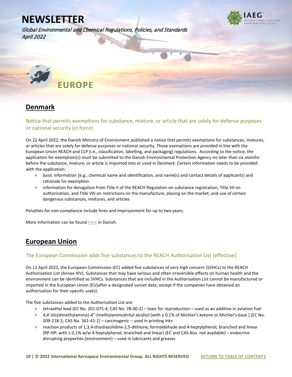Global Environmental and Chemical Regulations, Policies, and Standards April 2022

<span id="page-10-0"></span>

## <span id="page-10-1"></span>**Denmark**

<span id="page-10-2"></span>Notice that permits exemptions for substance, mixture, or article that are solely for defense purposes or national security (in force)

On 22 April 2022, the Danish Ministry of Environment published a notice that permits exemptions for substances, mixtures, or articles that are solely for defense purposes or national security. These exemptions are provided in line with the European Union REACH and CLP (i.e., classification, labelling, and packaging) regulations. According to the notice, the application for exemption(s) must be submitted to the Danish Environmental Protection Agency no later than six months before the substance, mixture, or article is imported into or used in Denmark. Certain information needs to be provided with the application:

- **»** basic information [e.g., chemical name and identification, and name(s) and contact details of applicants] and rationale for exemption
- **»** information for derogation from Title II of the REACH Regulation on substance registration, Title VII on authorization, and Title VIII on restrictions on the manufacture, placing on the market, and use of certain dangerous substances, mixtures, and articles

Penalties for non-compliance include fines and imprisonment for up to two years.

More information can be foun[d here](https://www.retsinformation.dk/eli/lta/2022/459) in Danish.

## <span id="page-10-3"></span>**European Union**

#### <span id="page-10-4"></span>The European Commission adds five substances to the REACH Authorisation List (effective)

On 11 April 2022, the European Commission (EC) added five substances of very high concern (SVHCs) to the REACH Authorisation List (Annex XIV). Substances that may have serious and often irreversible effects on human health and the environment can be identified as SVHCs. Substances that are included in the Authorisation List cannot be manufactured or imported in the European Union (EU)after a designated sunset date, except if the companies have obtained an authorisation for their specific use(s).

The five substances added to the Authorisation List are:

- **»** tetraethyl lead (EC No. 201-075-4; CAS No. 78-00-2) toxic for reproduction used as an additive in aviation fuel
- **»** 4,4'-bis(dimethylamino)-4''-(methylamino)trityl alcohol [with ≥ 0,1% of Michler's ketone or Michler's base ] (EC No. 209-218-2; CAS No. 561-41-1) – carcinogenic – used in printing inks
- **»** reaction products of 1,3,4-thiadiazolidine-2,5-dithione, formaldehyde and 4-heptylphenol, branched and linear (RP-HP; with ≥ 0,1% w/w 4-heptylphenol, branched and linear) (EC and CAS Nos. not available) – endocrine disrupting properties (environment) – used in lubricants and greases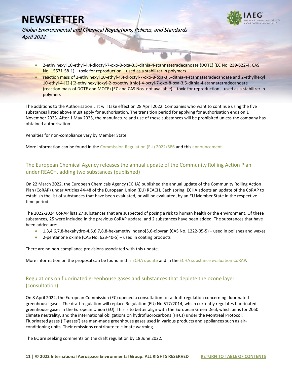

Global Environmental and Chemical Regulations, Policies, and Standards April 2022

- **»** 2-ethylhexyl 10-ethyl-4,4-dioctyl-7-oxo-8-oxa-3,5-dithia-4-stannatetradecanoate (DOTE) (EC No. 239-622-4; CAS No. 15571-58-1) – toxic for reproduction – used as a stabilizer in polymers
- **»** reaction mass of 2-ethylhexyl 10-ethyl-4,4-dioctyl-7-oxo-8-oxa-3,5-dithia-4-stannatetradecanoate and 2-ethylhexyl 10-ethyl-4-[[2-[(2-ethylhexyl)oxy]-2-oxoethyl]thio]-4-octyl-7-oxo-8-oxa-3,5-dithia-4-stannatetradecanoate (reaction mass of DOTE and MOTE) [EC and CAS Nos. not available) – toxic for reproduction – used as a stabilizer in polymers

The additions to the Authorisation List will take effect on 28 April 2022. Companies who want to continue using the five substances listed above must apply for authorisation. The transition period for applying for authorisation ends on 1 November 2023. After 1 May 2025, the manufacture and use of these substances will be prohibited unless the company has obtained authorisation.

Penalties for non-compliance vary by Member State.

More information can be found in the [Commission Regulation \(EU\) 2022/586](https://eur-lex.europa.eu/legal-content/EN/TXT/?uri=uriserv%3AOJ.L_.2022.112.01.0006.01.ENG&toc=OJ%3AL%3A2022%3A112%3ATOC) and this announcement.

#### <span id="page-11-0"></span>The European Chemical Agency releases the annual update of the Community Rolling Action Plan under REACH, adding two substances (published)

On 22 March 2022, the European Chemicals Agency (ECHA) published the annual update of the Community Rolling Action Plan (CoRAP) under Articles 44-48 of the European Union (EU) REACH. Each spring, ECHA adopts an update of the CoRAP to establish the list of substances that have been evaluated, or will be evaluated, by an EU Member State in the respective time period.

The 2022-2024 CoRAP lists 27 substances that are suspected of posing a risk to human health or the environment. Of these substances, 25 were included in the previous CoRAP update, and 2 substances have been added. The substances that have been added are:

- **»** 1,3,4,6,7,8-hexahydro-4,6,6,7,8,8-hexamethylindeno[5,6-c]pyran (CAS No. 1222-05-5) used in polishes and waxes
- **»** 2-pentanone oxime (CAS No. 623-40-5) used in coating products

There are no non-compliance provisions associated with this update.

More information on the proposal can be found in this [ECHA update](https://www.iaeg.com/binaries/content/assets/iaeg-newsletters/2022/04/eu_2022-2024-corap-update.pdf) and in the ECHA substance evaluation CoRAP.

#### <span id="page-11-1"></span>Regulations on fluorinated greenhouse gases and substances that deplete the ozone layer (consultation)

On 8 April 2022, the European Commission (EC) opened a consultation for a draft regulation concerning fluorinated greenhouse gases. The draft regulation will replace Regulation (EU) No 517/2014, which currently regulates fluorinated greenhouse gases in the European Union (EU). This is to better align with the European Green Deal, which aims for 2050 climate neutrality, and the international obligations on hydrofluorocarbons (HFCs) under the Montreal Protocol. Fluorinated gases ('F-gases') are man-made greenhouse gases used in various products and appliances such as airconditioning units. Their emissions contribute to climate warming.

The EC are seeking comments on the draft regulation by 18 June 2022.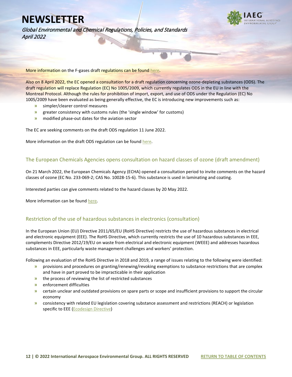

Global Environmental and Chemical Regulations, Policies, and Standards April 2022

More information on the F-gases draft regulations can be foun[d here.](https://ec.europa.eu/info/law/better-regulation/have-your-say/initiatives/12479-Fluorinated-greenhouse-gases-review-of-EU-rules-2015-20-_en)

Also on 8 April 2022, the EC opened a consultation for a draft regulation concerning ozone-depleting substances (ODS). The draft regulation will replace Regulation (EC) No 1005/2009, which currently regulates ODS in the EU in line with the Montreal Protocol. Although the rules for prohibition of import, export, and use of ODS under the Regulation (EC) No 1005/2009 have been evaluated as being generally effective, the EC is introducing new improvements such as:

- **»** simpler/clearer control measures
- **»** greater consistency with customs rules (the 'single window' for customs)
- **»** modified phase-out dates for the aviation sector

The EC are seeking comments on the draft ODS regulation 11 June 2022.

More information on the draft ODS regulation can be found [here.](https://ec.europa.eu/info/law/better-regulation/have-your-say/initiatives/12310-Ozone-layer-protection-review-of-EU-rules_en)

#### <span id="page-12-0"></span>The European Chemicals Agencies opens consultation on hazard classes of ozone (draft amendment)

On 21 March 2022, the European Chemicals Agency (ECHA) opened a consultation period to invite comments on the hazard classes of ozone (EC No. 233-069-2; CAS No. 10028-15-6). This substance is used in laminating and coating.

Interested parties can give comments related to the hazard classes by 20 May 2022.

More information can be foun[d here.](https://echa.europa.eu/nl/harmonised-classification-and-labelling-consultation/-/substance-rev/69103/term)

#### <span id="page-12-1"></span>Restriction of the use of hazardous substances in electronics (consultation)

In the European Union (EU) Directive 2011/65/EU (RoHS Directive) restricts the use of hazardous substances in electrical and electronic equipment (EEE). The RoHS Directive, which currently restricts the use of 10 hazardous substances in EEE, complements Directive 2012/19/EU on waste from electrical and electronic equipment (WEEE) and addresses hazardous substances in EEE, particularly waste management challenges and workers' protection.

Following an evaluation of the RoHS Directive in 2018 and 2019, a range of issues relating to the following were identified:

- **»** provisions and procedures on granting/renewing/revoking exemptions to substance restrictions that are complex and have in part proved to be impracticable in their application
- **»** the process of reviewing the list of restricted substances
- **»** enforcement difficulties
- **»** certain unclear and outdated provisions on spare parts or scope and insufficient provisions to support the circular economy
- **»** consistency with related EU legislation covering substance assessment and restrictions (REACH) or legislation specific to EEE [\(Ecodesign Directive\)](https://ec.europa.eu/growth/single-market/european-standards/harmonised-standards/ecodesign_en)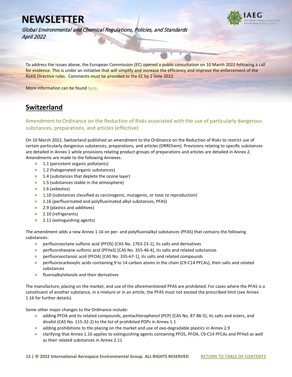

Global Environmental and Chemical Regulations, Policies, and Standards April 2022

To address the issues above, the European Commission (EC) opened a public consultation on 10 March 2022 following a call for evidence. This is under an initiative that will simplify and increase the efficiency and improve the enforcement of the RoHS Directive rules. Comments must be provided to the EC by 2 June 2022.

More information can be foun[d here.](https://ec.europa.eu/info/law/better-regulation/have-your-say/initiatives/13137-Review-Restriction-of-the-use-of-hazardous-substances-in-electronics_en)

## <span id="page-13-0"></span>**Switzerland**

#### <span id="page-13-1"></span>Amendment to Ordinance on the Reduction of Risks associated with the use of particularly dangerous substances, preparations, and articles (effective)

On 10 March 2022, Switzerland published an amendment to the Ordinance on the Reduction of Risks to restrict use of certain particularly dangerous substances, preparations, and articles (ORRChem). Provisions relating to specific substances are detailed in Annex 1 while provisions relating product groups of preparations and articles are detailed in Annex 2. Amendments are made to the following Annexes:

- **»** 1.1 (persistent organic pollutants)
- **»** 1.2 (halogenated organic substances)
- **»** 1.4 (substances that deplete the ozone layer)
- **»** 1.5 (substances stable in the atmosphere)
- **»** 1.6 (asbestos)
- **»** 1.10 (substances classified as carcinogenic, mutagenic, or toxic to reproduction)
- **»** 1.16 (perfluorinated and polyfluorinated alkyl substances, PFAS)
- **»** 2.9 (plastics and additives)
- **»** 2.10 (refrigerants)
- **»** 2.11 (extinguishing agents)

The amendment adds a new Annex 1.16 on per- and polyfluoroalkyl substances (PFAS) that contains the following substances:

- **»** perfluorooctane sulfonic acid (PFOS) [CAS No. 1763-23-1], its salts and derivatives
- **»** perfluorohexane sulfonic acid (PFHxS) [CAS No. 355-46-4], its salts and related substances
- **»** perfluorooctanoic acid (PFOA) [CAS No. 335-67-1], its salts and related compounds
- **»** perfluorocarboxylic acids containing 9 to 14 carbon atoms in the chain (C9-C14 PFCAs), their salts and related substances
- **»** fluoroalkylsilanols and their derivatives

The manufacture, placing on the market, and use of the aforementioned PFAS are prohibited. For cases where the PFAS is a constituent of another substance, in a mixture or in an article, the PFAS must not exceed the prescribed limit (see Annex 1.16 for further details).

Some other major changes to the Ordinance include:

- **»** adding PFOA and its related compounds, pentachlorophenol (PCP) [CAS No. 87-86-5], its salts and esters, and dicofol (CAS No. 115-32-2) to the list of prohibited POPs in Annex 1.1
- **»** adding prohibitions to the placing on the market and use of oxo-degradable plastics in Annex 2.9
- **»** clarifying that Annex 1.16 applies to extinguishing agents containing PFOS, PFOA, C9-C14 PFCAs and PFHxS as well as their related substances in Annex 2.11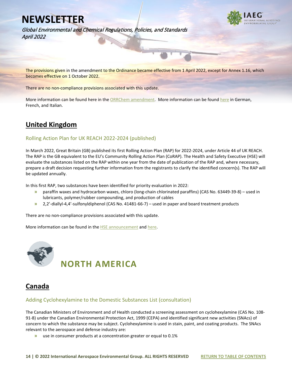

Global Environmental and Chemical Regulations, Policies, and Standards April 2022

The provisions given in the amendment to the Ordinance became effective from 1 April 2022, except for Annex 1.16, which becomes effective on 1 October 2022.

There are no non-compliance provisions associated with this update.

More information can be found here in the [ORRChem amendment.](https://www.iaeg.com/binaries/content/assets/iaeg-newsletters/2022/04/che_orrchim-amendment_english.pdf) More information can be foun[d here](https://www.fedlex.admin.ch/eli/oc/2022/162/fr) in German, French, and Italian.

## <span id="page-14-0"></span>**United Kingdom**

#### <span id="page-14-1"></span>Rolling Action Plan for UK REACH 2022-2024 (published)

In March 2022, Great Britain (GB) published its first Rolling Action Plan (RAP) for 2022-2024, under Article 44 of UK REACH. The RAP is the GB equivalent to the EU's Community Rolling Action Plan (CoRAP). The Health and Safety Executive (HSE) will evaluate the substances listed on the RAP within one year from the date of publication of the RAP and, where necessary, prepare a draft decision requesting further information from the registrants to clarify the identified concern(s). The RAP will be updated annually.

In this first RAP, two substances have been identified for priority evaluation in 2022:

- **»** paraffin waxes and hydrocarbon waxes, chloro (long-chain chlorinated paraffins) (CAS No. 63449-39-8) used in lubricants, polymer/rubber compounding, and production of cables
- **»** 2,2'-diallyl-4,4'-sulfonyldiphenol (CAS No. 41481-66-7) used in paper and board treatment products

There are no non-compliance provisions associated with this update.

More information can be found in the **HSE** announcement and here.

<span id="page-14-2"></span>

<span id="page-14-3"></span>

#### <span id="page-14-4"></span>Adding Cyclohexylamine to the Domestic Substances List (consultation)

The Canadian Ministers of Environment and of Health conducted a screening assessment on cyclohexylamine (CAS No. 108- 91-8) under the Canadian Environmental Protection Act, 1999 (CEPA) and identified significant new activities (SNAcs) of concern to which the substance may be subject. Cyclohexylamine is used in stain, paint, and coating products. The SNAcs relevant to the aerospace and defense industry are:

**»** use in consumer products at a concentration greater or equal to 0.1%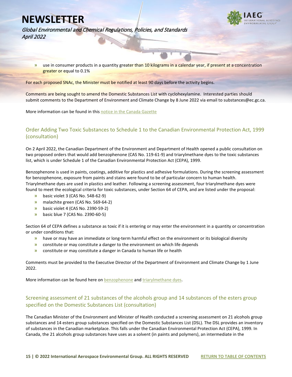

Global Environmental and Chemical Regulations, Policies, and Standards April 2022

**»** use in consumer products in a quantity greater than 10 kilograms in a calendar year, if present at a concentration greater or equal to 0.1%

For each proposed SNAc, the Minister must be notified at least 90 days before the activity begins.

Comments are being sought to amend the Domestic Substances List with cyclohexylamine. Interested parties should submit comments to the Department of Environment and Climate Change by 8 June 2022 via email to substances@ec.gc.ca.

More information can be found in thi[s notice in the Canada Gazette](https://canadagazette.gc.ca/rp-pr/p1/2022/2022-04-09/html/notice-avis-eng.html#nl1)

#### <span id="page-15-0"></span>Order Adding Two Toxic Substances to Schedule 1 to the Canadian Environmental Protection Act, 1999 (consultation)

On 2 April 2022, the Canadian Department of the Environment and Department of Health opened a public consultation on two proposed orders that would add benzophenone (CAS No. 119-61-9) and triarylmethane dyes to the toxic substances list, which is under Schedule 1 of the Canadian Environmental Protection Act (CEPA), 1999.

Benzophenone is used in paints, coatings, additive for plastics and adhesive formulations. During the screening assessment for benzophenone, exposure from paints and stains were found to be of particular concern to human health. Triarylmethane dyes are used in plastics and leather. Following a screening assessment, four triarylmethane dyes were found to meet the ecological criteria for toxic substances, under Section 64 of CEPA, and are listed under the proposal:

- **»** basic violet 3 (CAS No. 548-62-9)
- **»** malachite green (CAS No. 569-64-2)
- **»** basic violet 4 (CAS No. 2390-59-2)
- **»** basic blue 7 (CAS No. 2390-60-5)

Section 64 of CEPA defines a substance as toxic if it is entering or may enter the environment in a quantity or concentration or under conditions that:

- **»** have or may have an immediate or long-term harmful effect on the environment or its biological diversity
- **»** constitute or may constitute a danger to the environment on which life depends
- **»** constitute or may constitute a danger in Canada to human life or health

Comments must be provided to the Executive Director of the Department of Environment and Climate Change by 1 June 2022.

More information can be found here on [benzophenone](https://www.canada.ca/en/health-canada/services/chemical-substances/chemicals-management-plan-3-substances/benzophenone.html) and [triarylmethane dyes.](https://www.canada.ca/en/health-canada/services/chemical-substances/chemicals-management-plan-3-substances/triarylmethanes-group.html)

#### <span id="page-15-1"></span>Screening assessment of 21 substances of the alcohols group and 14 substances of the esters group specified on the Domestic Substances List (consultation)

The Canadian Minister of the Environment and Minister of Health conducted a screening assessment on 21 alcohols group substances and 14 esters group substances specified on the Domestic Substances List (DSL). The DSL provides an inventory of substances in the Canadian marketplace. This falls under the Canadian Environmental Protection Act (CEPA), 1999. In Canada, the 21 alcohols group substances have uses as a solvent (in paints and polymers), an intermediate in the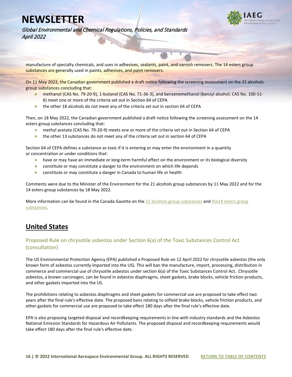

Global Environmental and Chemical Regulations, Policies, and Standards April 2022

manufacture of specialty chemicals, and uses in adhesives, sealants, paint, and varnish removers. The 14 esters group substances are generally used in paints, adhesives, and paint removers.

On 11 May 2022, the Canadian government published a draft notice following the screening assessment on the 21 alcohols group substances concluding that:

- **»** methanol (CAS No. 79-20-9), 1-butanol (CAS No. 71-36-3), and benzenemethanol (benzyl alcohol; CAS No. 100-51- 6) meet one or more of the criteria set out in Section 64 of CEPA
- **»** the other 18 alcohols do not meet any of the criteria set out in section 64 of CEPA

Then, on 18 May 2022, the Canadian government published a draft notice following the screening assessment on the 14 esters group substances concluding that:

- **»** methyl acetate (CAS No. 79-20-9) meets one or more of the criteria set out in Section 64 of CEPA
- **»** the other 13 substances do not meet any of the criteria set out in section 64 of CEPA

Section 64 of CEPA defines a substance as toxic if it is entering or may enter the environment in a quantity or concentration or under conditions that:

- **»** have or may have an immediate or long-term harmful effect on the environment or its biological diversity
- **»** constitute or may constitute a danger to the environment on which life depends
- **»** constitute or may constitute a danger in Canada to human life or health

Comments were due to the Minister of the Environment for the 21 alcohols group substances by 11 May 2022 and for the 14 esters group substances by 18 May 2022.

More information can be found in the Canada Gazette on the [21 alcohols group substances](https://canadagazette.gc.ca/rp-pr/p1/2022/2022-03-12/html/notice-avis-eng.html#nb2) and the14 esters group [substances.](https://canadagazette.gc.ca/rp-pr/p1/2022/2022-03-19/html/notice-avis-eng.html#nl2)

## <span id="page-16-0"></span>**United States**

#### <span id="page-16-1"></span>Proposed Rule on chrysotile asbestos under Section 6(a) of the Toxic Substances Control Act (consultation)

The US Environmental Protection Agency (EPA) published a Proposed Rule on 12 April 2022 for chrysotile asbestos (the only known form of asbestos currently imported into the US). This will ban the manufacture, import, processing, distribution in commerce and commercial use of chrysotile asbestos under section 6(a) of the Toxic Substances Control Act. Chrysotile asbestos, a known carcinogen, can be found in asbestos diaphragms, sheet gaskets, brake blocks, vehicle friction products, and other gaskets imported into the US.

The prohibitions relating to asbestos diaphragms and sheet gaskets for commercial use are proposed to take effect two years after the final rule's effective date. The proposed bans relating to oilfield brake blocks, vehicle friction products, and other gaskets for commercial use are proposed to take effect 180 days after the final rule's effective date.

EPA is also proposing targeted disposal and recordkeeping requirements in line with industry standards and the Asbestos National Emission Standards for Hazardous Air Pollutants. The proposed disposal and recordkeeping requirements would take effect 180 days after the final rule's effective date.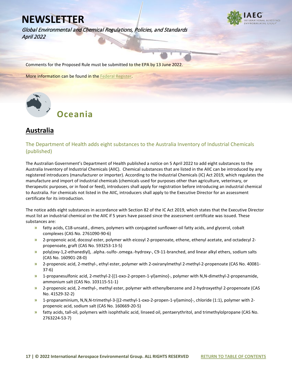Global Environmental and Chemical Regulations, Policies, and Standards April 2022



Comments for the Proposed Rule must be submitted to the EPA by 13 June 2022.

More information can be found in th[e Federal Register.](https://www.federalregister.gov/documents/2022/04/12/2022-07601/asbestos-part-1-chrysotile-asbestos-regulation-of-certain-conditions-of-use-under-section-6a-of-the)

<span id="page-17-0"></span>

## <span id="page-17-1"></span>**Australia**

#### <span id="page-17-2"></span>The Department of Health adds eight substances to the Australia Inventory of Industrial Chemicals (published)

The Australian Government's Department of Health published a notice on 5 April 2022 to add eight substances to the Australia Inventory of Industrial Chemicals (AIIC). Chemical substances that are listed in the AIIC can be introduced by any registered introducers (manufacturer or importer). According to the Industrial Chemicals (IC) Act 2019, which regulates the manufacture and import of industrial chemicals (chemicals used for purposes other than agriculture, veterinary, or therapeutic purposes, or in food or feed), introducers shall apply for registration before introducing an industrial chemical to Australia. For chemicals not listed in the AIIC, introducers shall apply to the Executive Director for an assessment certificate for its introduction.

The notice adds eight substances in accordance with Section 82 of the IC Act 2019, which states that the Executive Director must list an industrial chemical on the AIIC if 5 years have passed since the assessment certificate was issued. These substances are:

- **»** fatty acids, C18-unsatd., dimers, polymers with conjugated sunflower-oil fatty acids, and glycerol, cobalt complexes (CAS No. 2761090-90-6)
- **»** 2-propenoic acid, docosyl ester, polymer with eicosyl 2-propenoate, ethene, ethenyl acetate, and octadecyl 2 propenoate, graft (CAS No. 593253-13-5)
- **»** poly(oxy-1,2-ethanediyl), .alpha.-sulfo-.omega.-hydroxy-, C9-11-branched, and linear alkyl ethers, sodium salts (CAS No. 160901-28-0)
- **»** 2-propenoic acid, 2-methyl-, ethyl ester, polymer with 2-oxiranylmethyl 2-methyl-2-propenoate (CAS No. 40081- 37-6)
- **»** 1-propanesulfonic acid, 2-methyl-2-[(1-oxo-2-propen-1-yl)amino]-, polymer with N,N-dimethyl-2-propenamide, ammonium salt (CAS No. 103115-51-1)
- **»** 2-propenoic acid, 2-methyl-, methyl ester, polymer with ethenylbenzene and 2-hydroxyethyl 2-propenoate (CAS No. 41529-32-2)
- **»** 1-propanaminium, N,N,N-trimethyl-3-[(2-methyl-1-oxo-2-propen-1-yl)amino]-, chloride (1:1), polymer with 2 propenoic acid, sodium salt (CAS No. 160669-20-5)
- **»** fatty acids, tall-oil, polymers with isophthalic acid, linseed oil, pentaerythritol, and trimethylolpropane (CAS No. 2763224-53-7)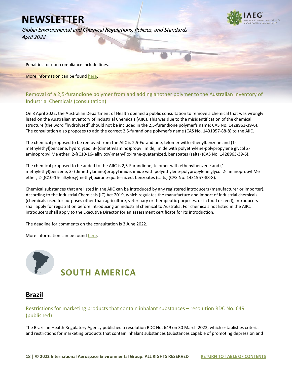Global Environmental and Chemical Regulations, Policies, and Standards April 2022



Penalties for non-compliance include fines.

More information can be found [here.](file://haleyaldrich.com/share/SJC_common/My%20Drive/IAEG%20Project/Tasks/21.%20April%20Newsletter/The%20Australian%20Government%E2%80%99s%20Department%20of%20Health%20published%20a%20Notice%20on%205%20April%202022,%20which%20adds%208%20substances%20to%20the%20Australia%20Inventory%20of%20Industrial%20Chemicals%20(AIIC))

#### <span id="page-18-0"></span>Removal of a 2,5-furandione polymer from and adding another polymer to the Australian Inventory of Industrial Chemicals (consultation)

On 8 April 2022, the Australian Department of Health opened a public consultation to remove a chemical that was wrongly listed on the Australian Inventory of Industrial Chemicals (AIIC). This was due to the misidentification of the chemical structure (the word "hydrolyzed" should not be included in the 2,5-furandione polymer's name; CAS No. 1428963-39-6). The consultation also proposes to add the correct 2,5-furandione polymer's name (CAS No. 1431957-88-8) to the AIIC.

The chemical proposed to be removed from the AIIC is 2,5-Furandione, telomer with ethenylbenzene and (1 methylethyl)benzene, hydrolyzed, 3- (dimethylamino)propyl imide, imide with polyethylene-polypropylene glycol 2 aminopropyl Me ether, 2-[(C10-16- alkyloxy)methyl]oxirane-quaternized, benzoates (salts) (CAS No. 1428963-39-6).

The chemical proposed to be added to the AIIC is 2,5-Furandione, telomer with ethenylbenzene and (1 methylethyl)benzene, 3- (dimethylamino)propyl imide, imide with polyethylene-polypropylene glycol 2- aminopropyl Me ether, 2-[(C10-16- alkyloxy)methyl]oxirane-quaternized, benzoates (salts) (CAS No. 1431957-88-8).

Chemical substances that are listed in the AIIC can be introduced by any registered introducers (manufacturer or importer). According to the Industrial Chemicals (IC) Act 2019, which regulates the manufacture and import of industrial chemicals (chemicals used for purposes other than agriculture, veterinary or therapeutic purposes, or in food or feed), introducers shall apply for registration before introducing an industrial chemical to Australia. For chemicals not listed in the AIIC, introducers shall apply to the Executive Director for an assessment certificate for its introduction.

The deadline for comments on the consultation is 3 June 2022.

More information can be foun[d here.](https://www.industrialchemicals.gov.au/consultations/draft-evaluation-chemical-cas-number-1428963-39-6-comments-close-3-june-2022)

<span id="page-18-1"></span>

## <span id="page-18-2"></span>**Brazil**

#### <span id="page-18-3"></span>Restrictions for marketing products that contain inhalant substances – resolution RDC No. 649 (published)

The Brazilian Health Regulatory Agency published a resolution RDC No. 649 on 30 March 2022, which establishes criteria and restrictions for marketing products that contain inhalant substances (substances capable of promoting depression and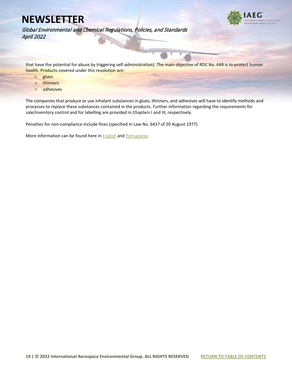

Global Environmental and Chemical Regulations, Policies, and Standards April 2022

that have the potential for abuse by triggering self-administration). The main objective of RDC No. 649 is to protect human health. Products covered under this resolution are:

- **»** glues
- **»** thinners
- **»** adhesives

The companies that produce or use inhalant substances in glues, thinners, and adhesives will have to identify methods and processes to replace these substances contained in the products. Further information regarding the requirements for sale/inventory control and for labelling are provided in Chapters I and III, respectively.

Penalties for non-compliance include fines (specified in Law No. 6437 of 20 August 1977).

More information can be found here in **English** and **Portuguese**.